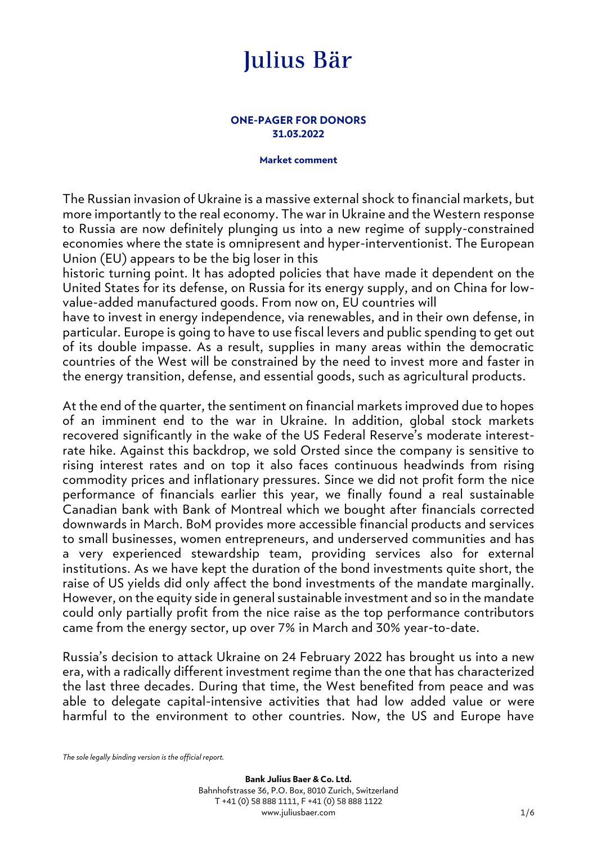#### **ONE-PAGER FOR DONORS 31.03.2022**

#### **Market comment**

The Russian invasion of Ukraine is a massive external shock to financial markets, but more importantly to the real economy. The war in Ukraine and the Western response to Russia are now definitely plunging us into a new regime of supply-constrained economies where the state is omnipresent and hyper-interventionist. The European Union (EU) appears to be the big loser in this

historic turning point. It has adopted policies that have made it dependent on the United States for its defense, on Russia for its energy supply, and on China for lowvalue-added manufactured goods. From now on, EU countries will

have to invest in energy independence, via renewables, and in their own defense, in particular. Europe is going to have to use fiscal levers and public spending to get out of its double impasse. As a result, supplies in many areas within the democratic countries of the West will be constrained by the need to invest more and faster in the energy transition, defense, and essential goods, such as agricultural products.

At the end of the quarter, the sentiment on financial markets improved due to hopes of an imminent end to the war in Ukraine. In addition, global stock markets recovered significantly in the wake of the US Federal Reserve's moderate interestrate hike. Against this backdrop, we sold Orsted since the company is sensitive to rising interest rates and on top it also faces continuous headwinds from rising commodity prices and inflationary pressures. Since we did not profit form the nice performance of financials earlier this year, we finally found a real sustainable Canadian bank with Bank of Montreal which we bought after financials corrected downwards in March. BoM provides more accessible financial products and services to small businesses, women entrepreneurs, and underserved communities and has a very experienced stewardship team, providing services also for external institutions. As we have kept the duration of the bond investments quite short, the raise of US yields did only affect the bond investments of the mandate marginally. However, on the equity side in general sustainable investment and so in the mandate could only partially profit from the nice raise as the top performance contributors came from the energy sector, up over 7% in March and 30% year-to-date.

Russia's decision to attack Ukraine on 24 February 2022 has brought us into a new era, with a radically different investment regime than the one that has characterized the last three decades. During that time, the West benefited from peace and was able to delegate capital-intensive activities that had low added value or were harmful to the environment to other countries. Now, the US and Europe have

*The sole legally binding version is the official report.*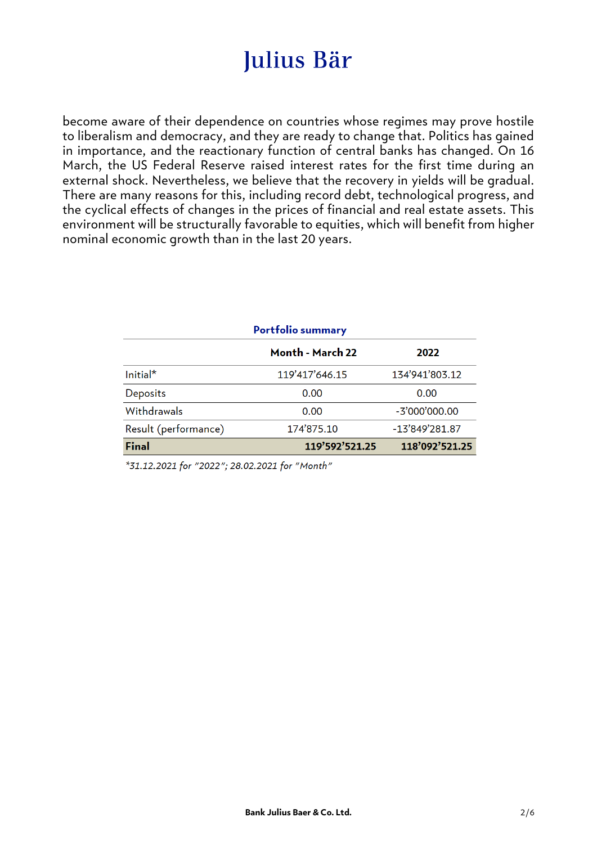become aware of their dependence on countries whose regimes may prove hostile to liberalism and democracy, and they are ready to change that. Politics has gained in importance, and the reactionary function of central banks has changed. On 16 March, the US Federal Reserve raised interest rates for the first time during an external shock. Nevertheless, we believe that the recovery in yields will be gradual. There are many reasons for this, including record debt, technological progress, and the cyclical effects of changes in the prices of financial and real estate assets. This environment will be structurally favorable to equities, which will benefit from higher nominal economic growth than in the last 20 years.

| <b>Portfolio summary</b> |                  |                  |  |  |
|--------------------------|------------------|------------------|--|--|
|                          | Month - March 22 | 2022             |  |  |
| $Initial*$               | 119'417'646.15   | 134'941'803.12   |  |  |
| <b>Deposits</b>          | 0.00             | 0.00             |  |  |
| Withdrawals              | 0.00             | $-3'000'000.00$  |  |  |
| Result (performance)     | 174'875.10       | $-13'849'281.87$ |  |  |
| Final                    | 119'592'521.25   | 118'092'521.25   |  |  |

\*31.12.2021 for "2022"; 28.02.2021 for "Month"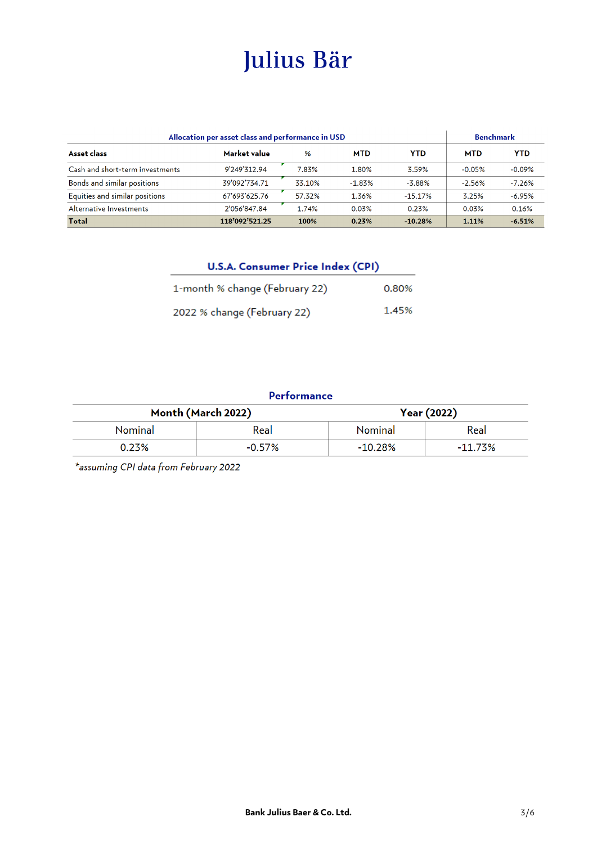| Allocation per asset class and performance in USD |                |        |            | <b>Benchmark</b> |            |            |
|---------------------------------------------------|----------------|--------|------------|------------------|------------|------------|
| Asset class                                       | Market value   | %      | <b>MTD</b> | <b>YTD</b>       | <b>MTD</b> | <b>YTD</b> |
| Cash and short-term investments                   | 9'249'312.94   | 7.83%  | 1.80%      | 3.59%            | $-0.05%$   | $-0.09%$   |
| Bonds and similar positions                       | 39'092'734.71  | 33.10% | $-1.83%$   | $-3.88%$         | $-2.56%$   | $-7.26%$   |
| Equities and similar positions                    | 67'693'625.76  | 57.32% | 1.36%      | $-15.17%$        | 3.25%      | $-6.95%$   |
| Alternative Investments                           | 2'056'847.84   | 1.74%  | 0.03%      | 0.23%            | 0.03%      | 0.16%      |
| <b>Total</b>                                      | 118'092'521.25 | 100%   | 0.23%      | $-10.28%$        | 1.11%      | $-6.51%$   |

| <b>U.S.A. Consumer Price Index (CPI)</b> |       |
|------------------------------------------|-------|
| 1-month % change (February 22)           | 0.80% |
| 2022 % change (February 22)              | 1.45% |

### Performance

| Month (March 2022) |           | Year (2022) |            |  |
|--------------------|-----------|-------------|------------|--|
| <b>Nominal</b>     | Real      | Nominal     | Real       |  |
| 0.23%              | $-0.57\%$ | $-10.28\%$  | $-11.73\%$ |  |

\*assuming CPI data from February 2022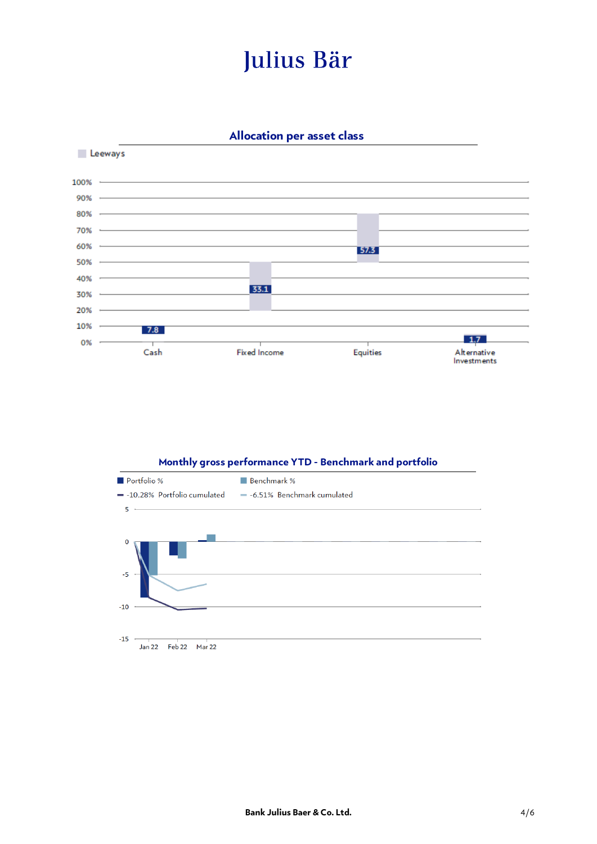**Allocation per asset class** 



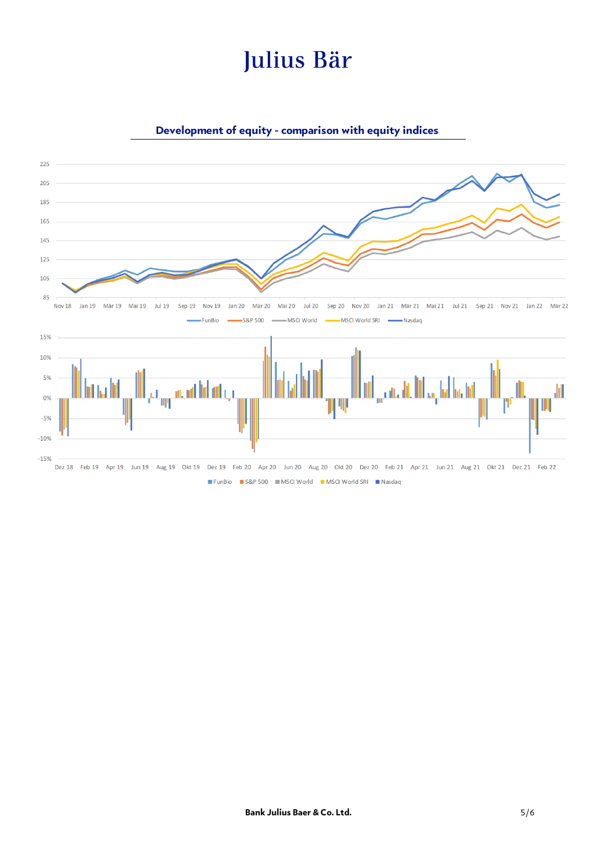

### **Development of equity - comparison with equity indices**